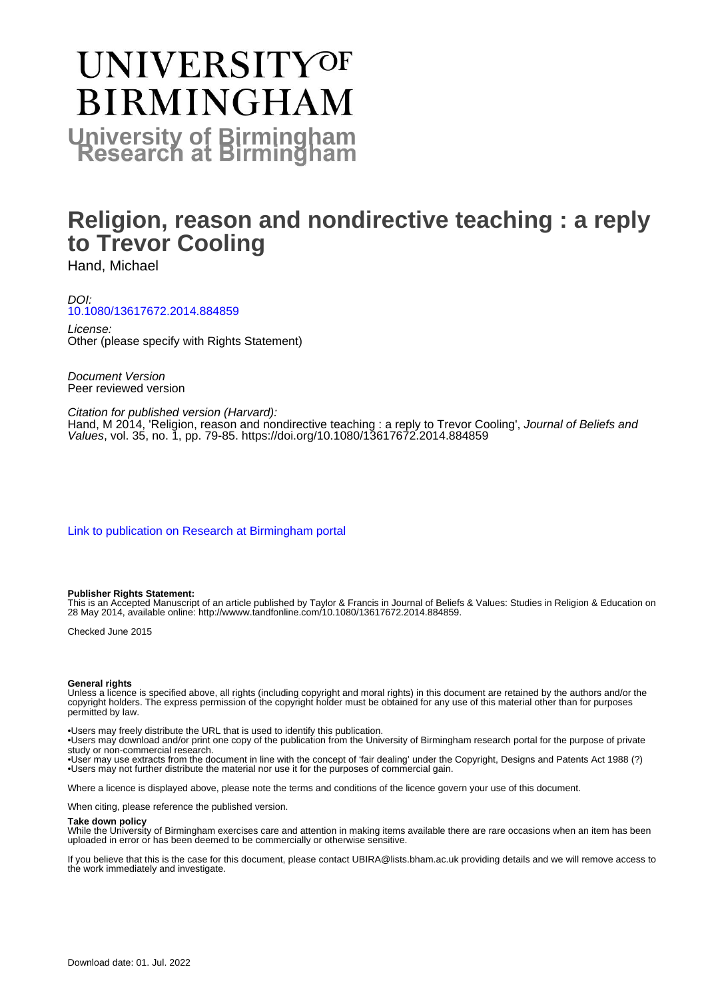# **UNIVERSITYOF BIRMINGHAM University of Birmingham**

# **Religion, reason and nondirective teaching : a reply to Trevor Cooling**

Hand, Michael

## DOI: [10.1080/13617672.2014.884859](https://doi.org/10.1080/13617672.2014.884859)

License: Other (please specify with Rights Statement)

Document Version Peer reviewed version

### Citation for published version (Harvard):

Hand, M 2014, 'Religion, reason and nondirective teaching : a reply to Trevor Cooling', Journal of Beliefs and Values, vol. 35, no. 1, pp. 79-85. <https://doi.org/10.1080/13617672.2014.884859>

[Link to publication on Research at Birmingham portal](https://birmingham.elsevierpure.com/en/publications/ae3372f0-72b9-4c2e-be4c-3fdfbace8d26)

#### **Publisher Rights Statement:**

This is an Accepted Manuscript of an article published by Taylor & Francis in Journal of Beliefs & Values: Studies in Religion & Education on 28 May 2014, available online: http://wwww.tandfonline.com/10.1080/13617672.2014.884859.

Checked June 2015

#### **General rights**

Unless a licence is specified above, all rights (including copyright and moral rights) in this document are retained by the authors and/or the copyright holders. The express permission of the copyright holder must be obtained for any use of this material other than for purposes permitted by law.

• Users may freely distribute the URL that is used to identify this publication.

• Users may download and/or print one copy of the publication from the University of Birmingham research portal for the purpose of private study or non-commercial research.

• User may use extracts from the document in line with the concept of 'fair dealing' under the Copyright, Designs and Patents Act 1988 (?) • Users may not further distribute the material nor use it for the purposes of commercial gain.

Where a licence is displayed above, please note the terms and conditions of the licence govern your use of this document.

When citing, please reference the published version.

#### **Take down policy**

While the University of Birmingham exercises care and attention in making items available there are rare occasions when an item has been uploaded in error or has been deemed to be commercially or otherwise sensitive.

If you believe that this is the case for this document, please contact UBIRA@lists.bham.ac.uk providing details and we will remove access to the work immediately and investigate.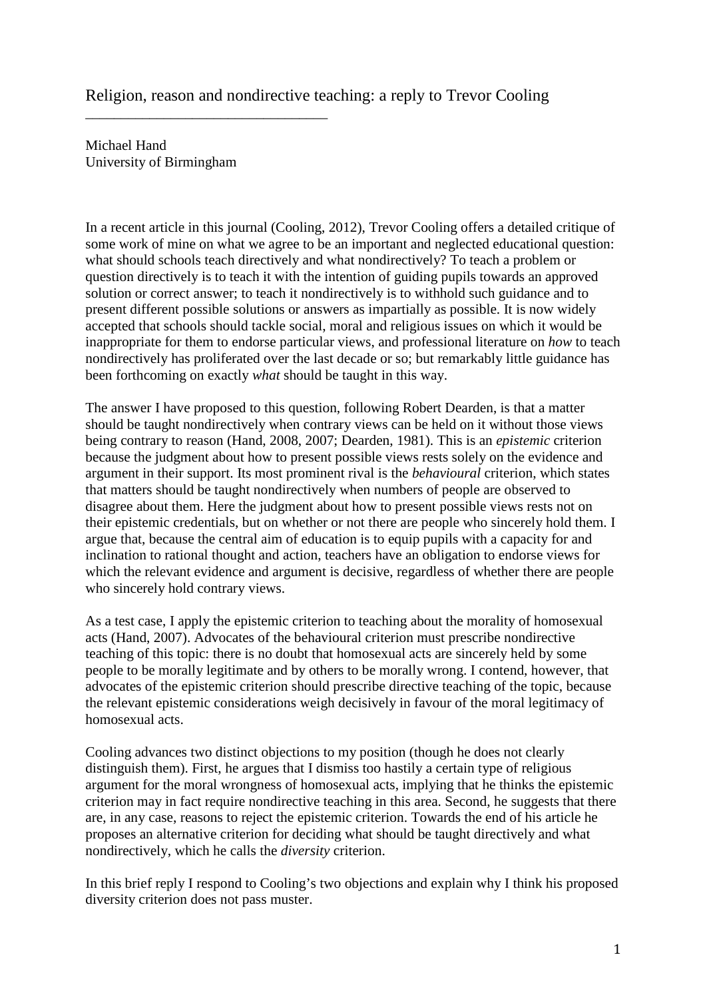Religion, reason and nondirective teaching: a reply to Trevor Cooling

Michael Hand University of Birmingham

\_\_\_\_\_\_\_\_\_\_\_\_\_\_\_\_\_\_\_\_\_\_\_\_\_\_\_\_\_\_\_\_\_\_

In a recent article in this journal (Cooling, 2012), Trevor Cooling offers a detailed critique of some work of mine on what we agree to be an important and neglected educational question: what should schools teach directively and what nondirectively? To teach a problem or question directively is to teach it with the intention of guiding pupils towards an approved solution or correct answer; to teach it nondirectively is to withhold such guidance and to present different possible solutions or answers as impartially as possible. It is now widely accepted that schools should tackle social, moral and religious issues on which it would be inappropriate for them to endorse particular views, and professional literature on *how* to teach nondirectively has proliferated over the last decade or so; but remarkably little guidance has been forthcoming on exactly *what* should be taught in this way.

The answer I have proposed to this question, following Robert Dearden, is that a matter should be taught nondirectively when contrary views can be held on it without those views being contrary to reason (Hand, 2008, 2007; Dearden, 1981). This is an *epistemic* criterion because the judgment about how to present possible views rests solely on the evidence and argument in their support. Its most prominent rival is the *behavioural* criterion, which states that matters should be taught nondirectively when numbers of people are observed to disagree about them. Here the judgment about how to present possible views rests not on their epistemic credentials, but on whether or not there are people who sincerely hold them. I argue that, because the central aim of education is to equip pupils with a capacity for and inclination to rational thought and action, teachers have an obligation to endorse views for which the relevant evidence and argument is decisive, regardless of whether there are people who sincerely hold contrary views.

As a test case, I apply the epistemic criterion to teaching about the morality of homosexual acts (Hand, 2007). Advocates of the behavioural criterion must prescribe nondirective teaching of this topic: there is no doubt that homosexual acts are sincerely held by some people to be morally legitimate and by others to be morally wrong. I contend, however, that advocates of the epistemic criterion should prescribe directive teaching of the topic, because the relevant epistemic considerations weigh decisively in favour of the moral legitimacy of homosexual acts.

Cooling advances two distinct objections to my position (though he does not clearly distinguish them). First, he argues that I dismiss too hastily a certain type of religious argument for the moral wrongness of homosexual acts, implying that he thinks the epistemic criterion may in fact require nondirective teaching in this area. Second, he suggests that there are, in any case, reasons to reject the epistemic criterion. Towards the end of his article he proposes an alternative criterion for deciding what should be taught directively and what nondirectively, which he calls the *diversity* criterion.

In this brief reply I respond to Cooling's two objections and explain why I think his proposed diversity criterion does not pass muster.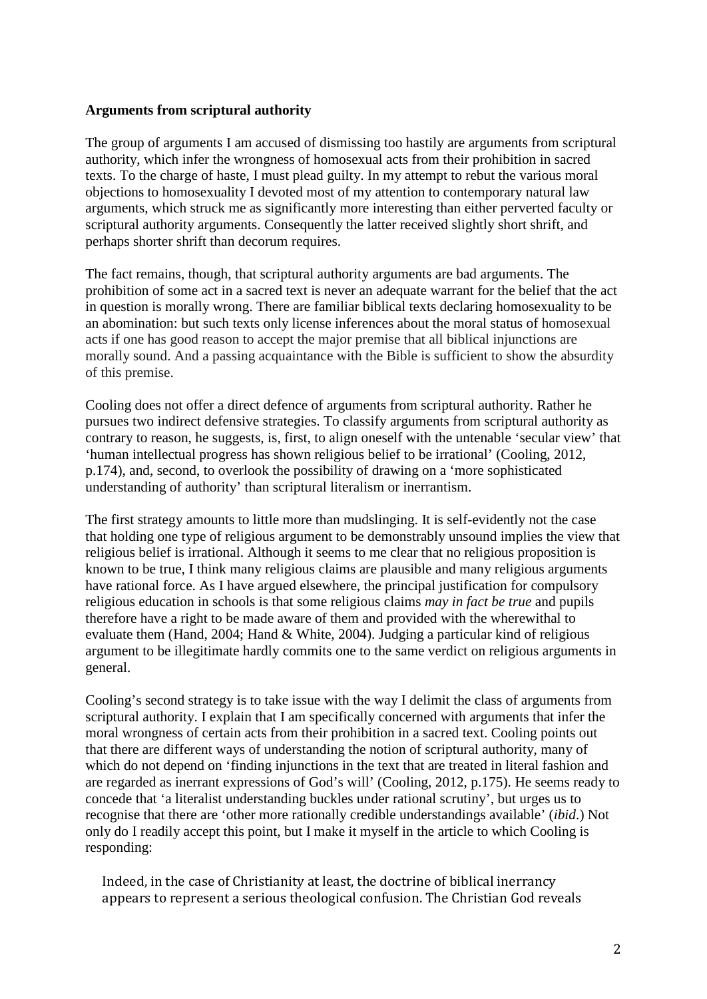# **Arguments from scriptural authority**

The group of arguments I am accused of dismissing too hastily are arguments from scriptural authority, which infer the wrongness of homosexual acts from their prohibition in sacred texts. To the charge of haste, I must plead guilty. In my attempt to rebut the various moral objections to homosexuality I devoted most of my attention to contemporary natural law arguments, which struck me as significantly more interesting than either perverted faculty or scriptural authority arguments. Consequently the latter received slightly short shrift, and perhaps shorter shrift than decorum requires.

The fact remains, though, that scriptural authority arguments are bad arguments. The prohibition of some act in a sacred text is never an adequate warrant for the belief that the act in question is morally wrong. There are familiar biblical texts declaring homosexuality to be an abomination: but such texts only license inferences about the moral status of homosexual acts if one has good reason to accept the major premise that all biblical injunctions are morally sound. And a passing acquaintance with the Bible is sufficient to show the absurdity of this premise.

Cooling does not offer a direct defence of arguments from scriptural authority. Rather he pursues two indirect defensive strategies. To classify arguments from scriptural authority as contrary to reason, he suggests, is, first, to align oneself with the untenable 'secular view' that 'human intellectual progress has shown religious belief to be irrational' (Cooling, 2012, p.174), and, second, to overlook the possibility of drawing on a 'more sophisticated understanding of authority' than scriptural literalism or inerrantism.

The first strategy amounts to little more than mudslinging. It is self-evidently not the case that holding one type of religious argument to be demonstrably unsound implies the view that religious belief is irrational. Although it seems to me clear that no religious proposition is known to be true, I think many religious claims are plausible and many religious arguments have rational force. As I have argued elsewhere, the principal justification for compulsory religious education in schools is that some religious claims *may in fact be true* and pupils therefore have a right to be made aware of them and provided with the wherewithal to evaluate them (Hand, 2004; Hand & White, 2004). Judging a particular kind of religious argument to be illegitimate hardly commits one to the same verdict on religious arguments in general.

Cooling's second strategy is to take issue with the way I delimit the class of arguments from scriptural authority. I explain that I am specifically concerned with arguments that infer the moral wrongness of certain acts from their prohibition in a sacred text. Cooling points out that there are different ways of understanding the notion of scriptural authority, many of which do not depend on 'finding injunctions in the text that are treated in literal fashion and are regarded as inerrant expressions of God's will' (Cooling, 2012, p.175). He seems ready to concede that 'a literalist understanding buckles under rational scrutiny', but urges us to recognise that there are 'other more rationally credible understandings available' (*ibid*.) Not only do I readily accept this point, but I make it myself in the article to which Cooling is responding:

Indeed, in the case of Christianity at least, the doctrine of biblical inerrancy appears to represent a serious theological confusion. The Christian God reveals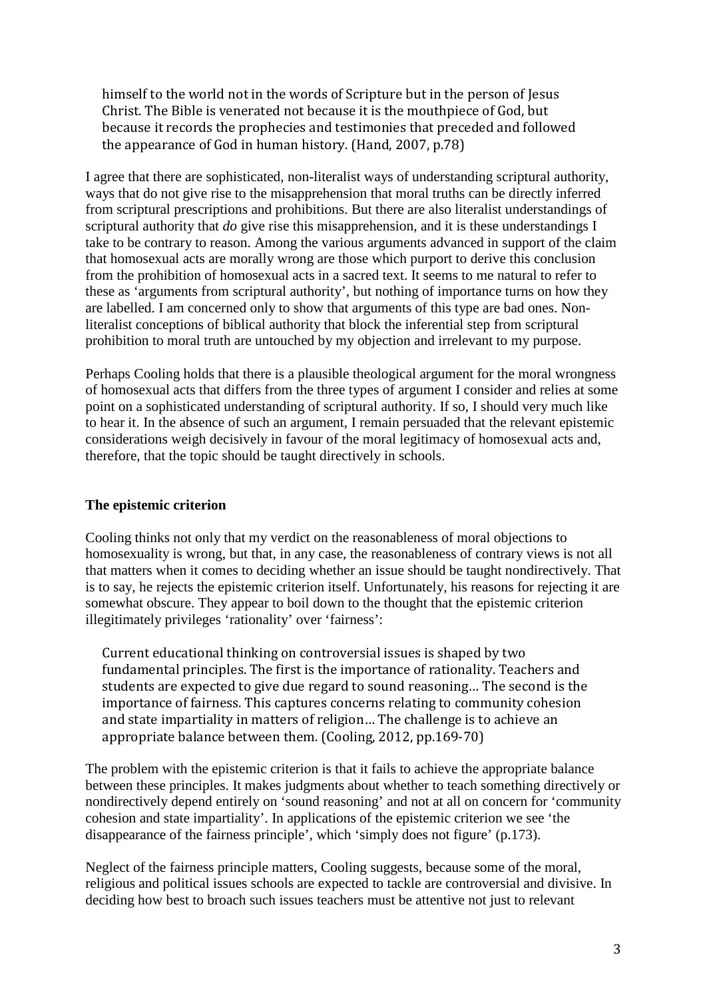himself to the world not in the words of Scripture but in the person of Jesus Christ. The Bible is venerated not because it is the mouthpiece of God, but because it records the prophecies and testimonies that preceded and followed the appearance of God in human history. (Hand, 2007, p.78)

I agree that there are sophisticated, non-literalist ways of understanding scriptural authority, ways that do not give rise to the misapprehension that moral truths can be directly inferred from scriptural prescriptions and prohibitions. But there are also literalist understandings of scriptural authority that *do* give rise this misapprehension, and it is these understandings I take to be contrary to reason. Among the various arguments advanced in support of the claim that homosexual acts are morally wrong are those which purport to derive this conclusion from the prohibition of homosexual acts in a sacred text. It seems to me natural to refer to these as 'arguments from scriptural authority', but nothing of importance turns on how they are labelled. I am concerned only to show that arguments of this type are bad ones. Nonliteralist conceptions of biblical authority that block the inferential step from scriptural prohibition to moral truth are untouched by my objection and irrelevant to my purpose.

Perhaps Cooling holds that there is a plausible theological argument for the moral wrongness of homosexual acts that differs from the three types of argument I consider and relies at some point on a sophisticated understanding of scriptural authority. If so, I should very much like to hear it. In the absence of such an argument, I remain persuaded that the relevant epistemic considerations weigh decisively in favour of the moral legitimacy of homosexual acts and, therefore, that the topic should be taught directively in schools.

# **The epistemic criterion**

Cooling thinks not only that my verdict on the reasonableness of moral objections to homosexuality is wrong, but that, in any case, the reasonableness of contrary views is not all that matters when it comes to deciding whether an issue should be taught nondirectively. That is to say, he rejects the epistemic criterion itself. Unfortunately, his reasons for rejecting it are somewhat obscure. They appear to boil down to the thought that the epistemic criterion illegitimately privileges 'rationality' over 'fairness':

Current educational thinking on controversial issues is shaped by two fundamental principles. The first is the importance of rationality. Teachers and students are expected to give due regard to sound reasoning… The second is the importance of fairness. This captures concerns relating to community cohesion and state impartiality in matters of religion… The challenge is to achieve an appropriate balance between them. (Cooling, 2012, pp.169-70)

The problem with the epistemic criterion is that it fails to achieve the appropriate balance between these principles. It makes judgments about whether to teach something directively or nondirectively depend entirely on 'sound reasoning' and not at all on concern for 'community cohesion and state impartiality'. In applications of the epistemic criterion we see 'the disappearance of the fairness principle', which 'simply does not figure' (p.173).

Neglect of the fairness principle matters, Cooling suggests, because some of the moral, religious and political issues schools are expected to tackle are controversial and divisive. In deciding how best to broach such issues teachers must be attentive not just to relevant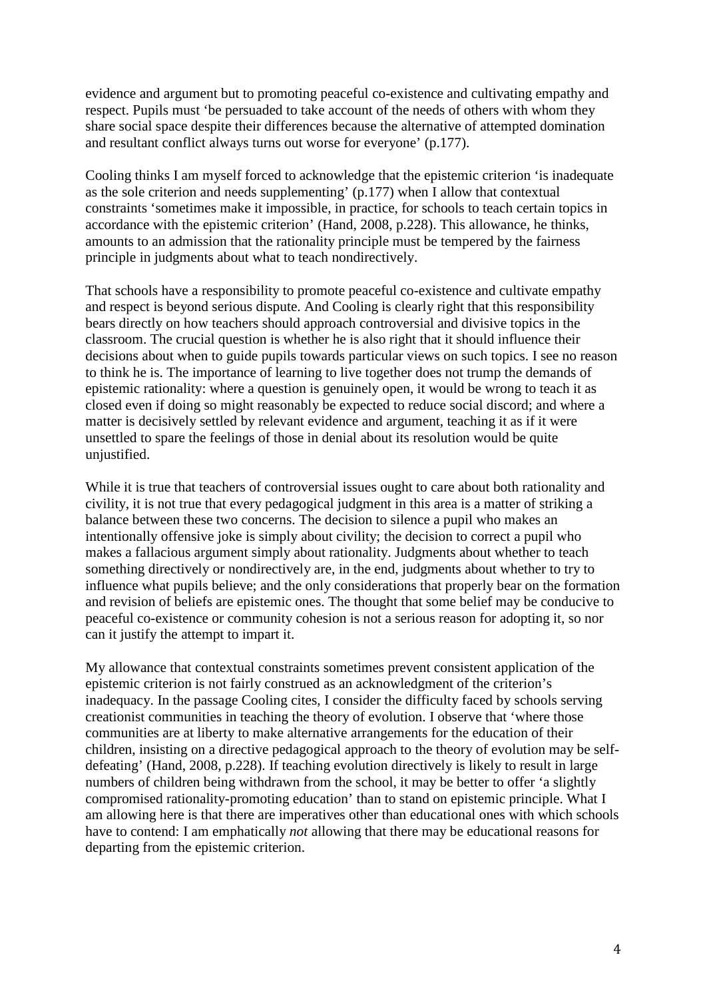evidence and argument but to promoting peaceful co-existence and cultivating empathy and respect. Pupils must 'be persuaded to take account of the needs of others with whom they share social space despite their differences because the alternative of attempted domination and resultant conflict always turns out worse for everyone' (p.177).

Cooling thinks I am myself forced to acknowledge that the epistemic criterion 'is inadequate as the sole criterion and needs supplementing' (p.177) when I allow that contextual constraints 'sometimes make it impossible, in practice, for schools to teach certain topics in accordance with the epistemic criterion' (Hand, 2008, p.228). This allowance, he thinks, amounts to an admission that the rationality principle must be tempered by the fairness principle in judgments about what to teach nondirectively.

That schools have a responsibility to promote peaceful co-existence and cultivate empathy and respect is beyond serious dispute. And Cooling is clearly right that this responsibility bears directly on how teachers should approach controversial and divisive topics in the classroom. The crucial question is whether he is also right that it should influence their decisions about when to guide pupils towards particular views on such topics. I see no reason to think he is. The importance of learning to live together does not trump the demands of epistemic rationality: where a question is genuinely open, it would be wrong to teach it as closed even if doing so might reasonably be expected to reduce social discord; and where a matter is decisively settled by relevant evidence and argument, teaching it as if it were unsettled to spare the feelings of those in denial about its resolution would be quite unjustified.

While it is true that teachers of controversial issues ought to care about both rationality and civility, it is not true that every pedagogical judgment in this area is a matter of striking a balance between these two concerns. The decision to silence a pupil who makes an intentionally offensive joke is simply about civility; the decision to correct a pupil who makes a fallacious argument simply about rationality. Judgments about whether to teach something directively or nondirectively are, in the end, judgments about whether to try to influence what pupils believe; and the only considerations that properly bear on the formation and revision of beliefs are epistemic ones. The thought that some belief may be conducive to peaceful co-existence or community cohesion is not a serious reason for adopting it, so nor can it justify the attempt to impart it.

My allowance that contextual constraints sometimes prevent consistent application of the epistemic criterion is not fairly construed as an acknowledgment of the criterion's inadequacy. In the passage Cooling cites, I consider the difficulty faced by schools serving creationist communities in teaching the theory of evolution. I observe that 'where those communities are at liberty to make alternative arrangements for the education of their children, insisting on a directive pedagogical approach to the theory of evolution may be selfdefeating' (Hand, 2008, p.228). If teaching evolution directively is likely to result in large numbers of children being withdrawn from the school, it may be better to offer 'a slightly compromised rationality-promoting education' than to stand on epistemic principle. What I am allowing here is that there are imperatives other than educational ones with which schools have to contend: I am emphatically *not* allowing that there may be educational reasons for departing from the epistemic criterion.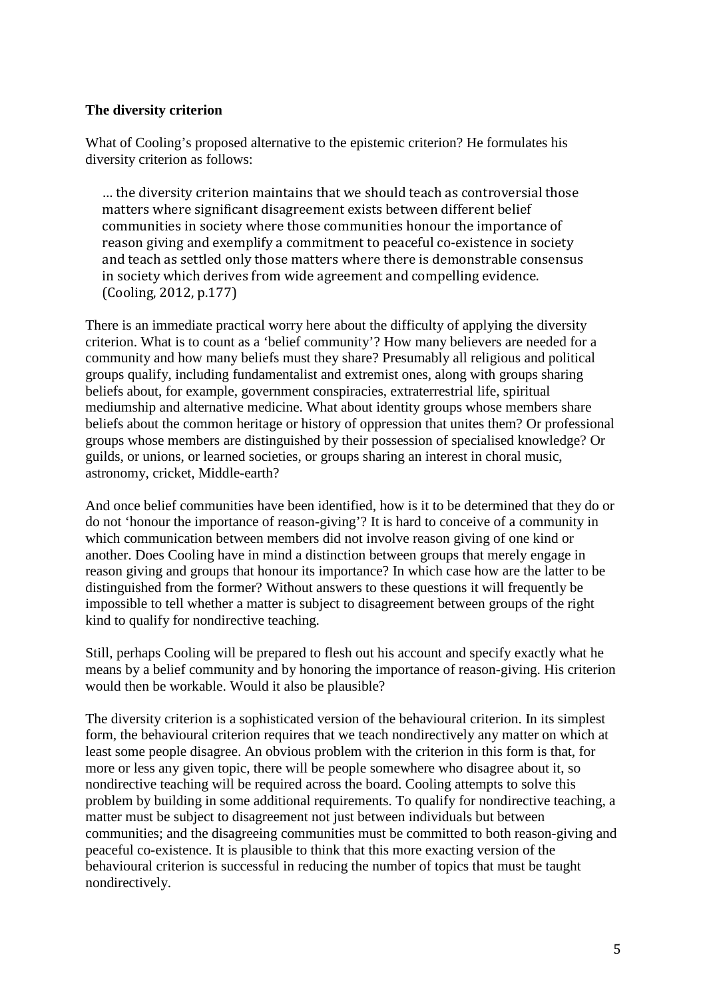# **The diversity criterion**

What of Cooling's proposed alternative to the epistemic criterion? He formulates his diversity criterion as follows:

… the diversity criterion maintains that we should teach as controversial those matters where significant disagreement exists between different belief communities in society where those communities honour the importance of reason giving and exemplify a commitment to peaceful co-existence in society and teach as settled only those matters where there is demonstrable consensus in society which derives from wide agreement and compelling evidence. (Cooling, 2012, p.177)

There is an immediate practical worry here about the difficulty of applying the diversity criterion. What is to count as a 'belief community'? How many believers are needed for a community and how many beliefs must they share? Presumably all religious and political groups qualify, including fundamentalist and extremist ones, along with groups sharing beliefs about, for example, government conspiracies, extraterrestrial life, spiritual mediumship and alternative medicine. What about identity groups whose members share beliefs about the common heritage or history of oppression that unites them? Or professional groups whose members are distinguished by their possession of specialised knowledge? Or guilds, or unions, or learned societies, or groups sharing an interest in choral music, astronomy, cricket, Middle-earth?

And once belief communities have been identified, how is it to be determined that they do or do not 'honour the importance of reason-giving'? It is hard to conceive of a community in which communication between members did not involve reason giving of one kind or another. Does Cooling have in mind a distinction between groups that merely engage in reason giving and groups that honour its importance? In which case how are the latter to be distinguished from the former? Without answers to these questions it will frequently be impossible to tell whether a matter is subject to disagreement between groups of the right kind to qualify for nondirective teaching.

Still, perhaps Cooling will be prepared to flesh out his account and specify exactly what he means by a belief community and by honoring the importance of reason-giving. His criterion would then be workable. Would it also be plausible?

The diversity criterion is a sophisticated version of the behavioural criterion. In its simplest form, the behavioural criterion requires that we teach nondirectively any matter on which at least some people disagree. An obvious problem with the criterion in this form is that, for more or less any given topic, there will be people somewhere who disagree about it, so nondirective teaching will be required across the board. Cooling attempts to solve this problem by building in some additional requirements. To qualify for nondirective teaching, a matter must be subject to disagreement not just between individuals but between communities; and the disagreeing communities must be committed to both reason-giving and peaceful co-existence. It is plausible to think that this more exacting version of the behavioural criterion is successful in reducing the number of topics that must be taught nondirectively.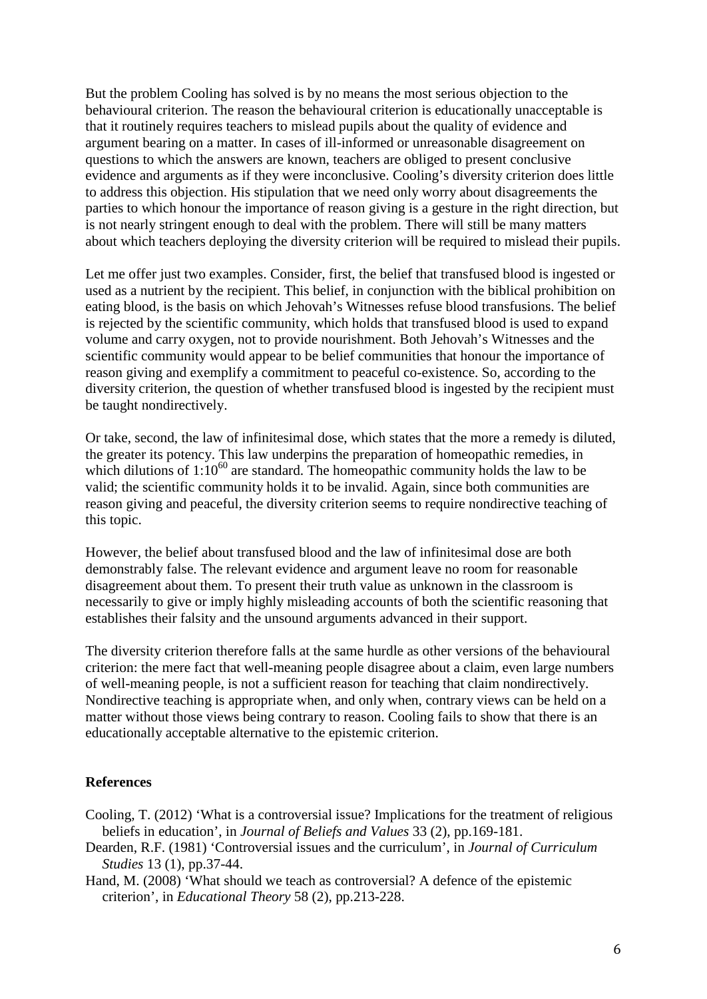But the problem Cooling has solved is by no means the most serious objection to the behavioural criterion. The reason the behavioural criterion is educationally unacceptable is that it routinely requires teachers to mislead pupils about the quality of evidence and argument bearing on a matter. In cases of ill-informed or unreasonable disagreement on questions to which the answers are known, teachers are obliged to present conclusive evidence and arguments as if they were inconclusive. Cooling's diversity criterion does little to address this objection. His stipulation that we need only worry about disagreements the parties to which honour the importance of reason giving is a gesture in the right direction, but is not nearly stringent enough to deal with the problem. There will still be many matters about which teachers deploying the diversity criterion will be required to mislead their pupils.

Let me offer just two examples. Consider, first, the belief that transfused blood is ingested or used as a nutrient by the recipient. This belief, in conjunction with the biblical prohibition on eating blood, is the basis on which Jehovah's Witnesses refuse blood transfusions. The belief is rejected by the scientific community, which holds that transfused blood is used to expand volume and carry oxygen, not to provide nourishment. Both Jehovah's Witnesses and the scientific community would appear to be belief communities that honour the importance of reason giving and exemplify a commitment to peaceful co-existence. So, according to the diversity criterion, the question of whether transfused blood is ingested by the recipient must be taught nondirectively.

Or take, second, the law of infinitesimal dose, which states that the more a remedy is diluted, the greater its potency. This law underpins the preparation of homeopathic remedies, in which dilutions of  $1:10^{60}$  are standard. The homeopathic community holds the law to be valid; the scientific community holds it to be invalid. Again, since both communities are reason giving and peaceful, the diversity criterion seems to require nondirective teaching of this topic.

However, the belief about transfused blood and the law of infinitesimal dose are both demonstrably false. The relevant evidence and argument leave no room for reasonable disagreement about them. To present their truth value as unknown in the classroom is necessarily to give or imply highly misleading accounts of both the scientific reasoning that establishes their falsity and the unsound arguments advanced in their support.

The diversity criterion therefore falls at the same hurdle as other versions of the behavioural criterion: the mere fact that well-meaning people disagree about a claim, even large numbers of well-meaning people, is not a sufficient reason for teaching that claim nondirectively. Nondirective teaching is appropriate when, and only when, contrary views can be held on a matter without those views being contrary to reason. Cooling fails to show that there is an educationally acceptable alternative to the epistemic criterion.

# **References**

- Cooling, T. (2012) 'What is a controversial issue? Implications for the treatment of religious beliefs in education', in *Journal of Beliefs and Values* 33 (2), pp.169-181.
- Dearden, R.F. (1981) 'Controversial issues and the curriculum', in *Journal of Curriculum Studies* 13 (1), pp.37-44.
- Hand, M. (2008) 'What should we teach as controversial? A defence of the epistemic criterion', in *Educational Theory* 58 (2), pp.213-228.